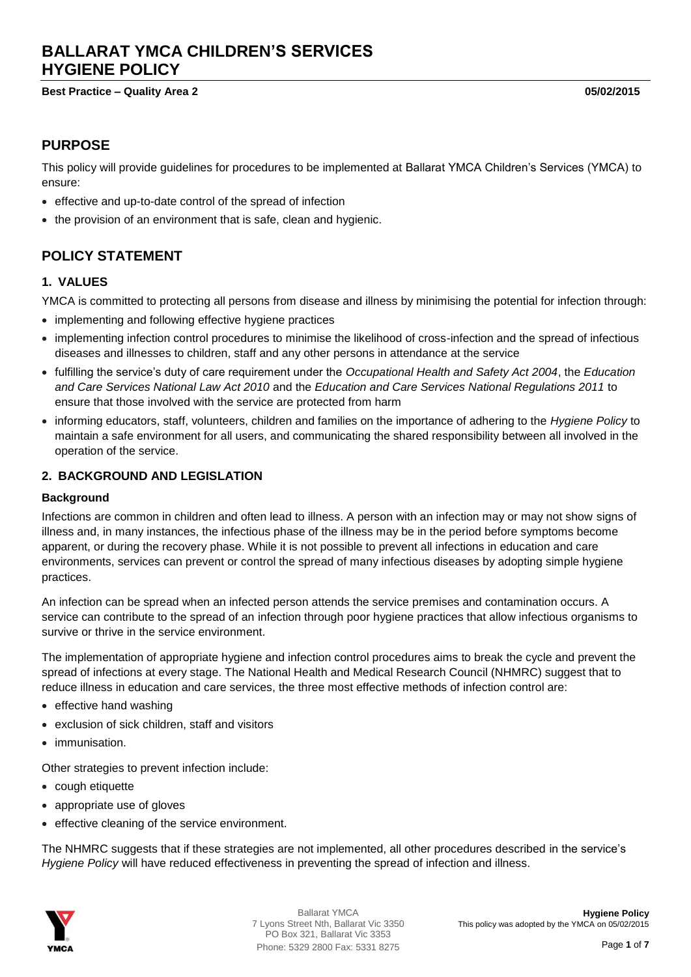# **BALLARAT YMCA CHILDREN'S SERVICES HYGIENE POLICY**

#### **Best Practice – Quality Area 2 05/02/2015**

### **PURPOSE**

This policy will provide guidelines for procedures to be implemented at Ballarat YMCA Children's Services (YMCA) to ensure:

- effective and up-to-date control of the spread of infection
- the provision of an environment that is safe, clean and hygienic.

## **POLICY STATEMENT**

#### **1. VALUES**

YMCA is committed to protecting all persons from disease and illness by minimising the potential for infection through:

- implementing and following effective hygiene practices
- implementing infection control procedures to minimise the likelihood of cross-infection and the spread of infectious diseases and illnesses to children, staff and any other persons in attendance at the service
- fulfilling the service's duty of care requirement under the *Occupational Health and Safety Act 2004*, the *Education and Care Services National Law Act 2010* and the *Education and Care Services National Regulations 2011* to ensure that those involved with the service are protected from harm
- informing educators, staff, volunteers, children and families on the importance of adhering to the *Hygiene Policy* to maintain a safe environment for all users, and communicating the shared responsibility between all involved in the operation of the service.

#### **2. BACKGROUND AND LEGISLATION**

#### **Background**

Infections are common in children and often lead to illness. A person with an infection may or may not show signs of illness and, in many instances, the infectious phase of the illness may be in the period before symptoms become apparent, or during the recovery phase. While it is not possible to prevent all infections in education and care environments, services can prevent or control the spread of many infectious diseases by adopting simple hygiene practices.

An infection can be spread when an infected person attends the service premises and contamination occurs. A service can contribute to the spread of an infection through poor hygiene practices that allow infectious organisms to survive or thrive in the service environment.

The implementation of appropriate hygiene and infection control procedures aims to break the cycle and prevent the spread of infections at every stage. The National Health and Medical Research Council (NHMRC) suggest that to reduce illness in education and care services, the three most effective methods of infection control are:

- $\bullet$  effective hand washing
- exclusion of sick children, staff and visitors
- immunisation.

Other strategies to prevent infection include:

- cough etiquette
- appropriate use of gloves
- effective cleaning of the service environment.

The NHMRC suggests that if these strategies are not implemented, all other procedures described in the service's *Hygiene Policy* will have reduced effectiveness in preventing the spread of infection and illness.

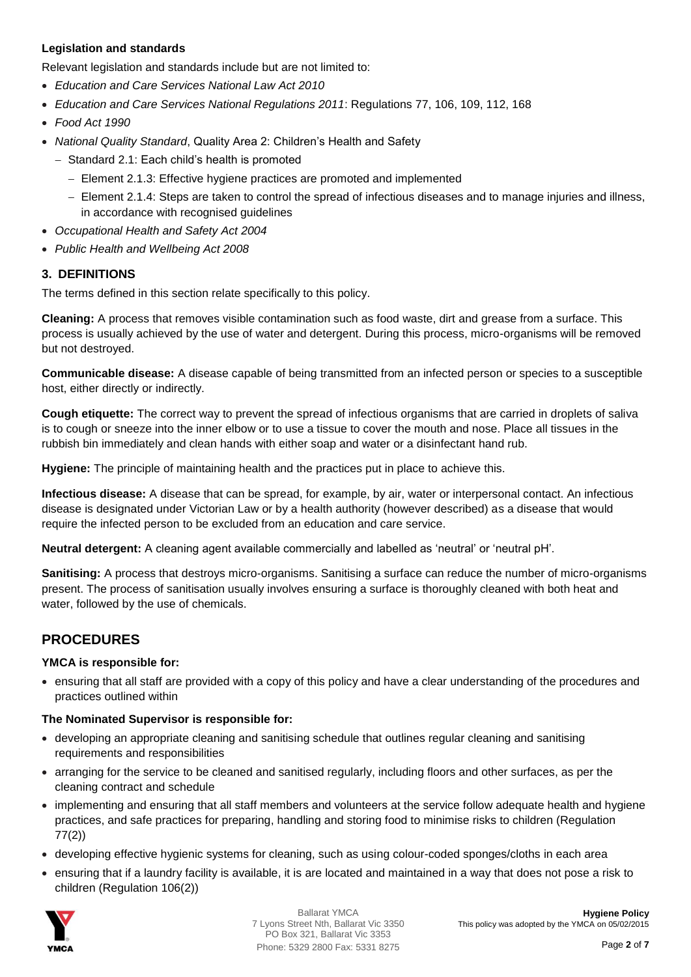#### **Legislation and standards**

Relevant legislation and standards include but are not limited to:

- *Education and Care Services National Law Act 2010*
- *Education and Care Services National Regulations 2011*: Regulations 77, 106, 109, 112, 168
- *Food Act 1990*
- *National Quality Standard*, Quality Area 2: Children's Health and Safety
	- Standard 2.1: Each child's health is promoted
		- Element 2.1.3: Effective hygiene practices are promoted and implemented
		- Element 2.1.4: Steps are taken to control the spread of infectious diseases and to manage injuries and illness, in accordance with recognised guidelines
- *Occupational Health and Safety Act 2004*
- *Public Health and Wellbeing Act 2008*

#### **3. DEFINITIONS**

The terms defined in this section relate specifically to this policy.

**Cleaning:** A process that removes visible contamination such as food waste, dirt and grease from a surface. This process is usually achieved by the use of water and detergent. During this process, micro-organisms will be removed but not destroyed.

**Communicable disease:** A disease capable of being transmitted from an infected person or species to a susceptible host, either directly or indirectly.

**Cough etiquette:** The correct way to prevent the spread of infectious organisms that are carried in droplets of saliva is to cough or sneeze into the inner elbow or to use a tissue to cover the mouth and nose. Place all tissues in the rubbish bin immediately and clean hands with either soap and water or a disinfectant hand rub.

**Hygiene:** The principle of maintaining health and the practices put in place to achieve this.

**Infectious disease:** A disease that can be spread, for example, by air, water or interpersonal contact. An infectious disease is designated under Victorian Law or by a health authority (however described) as a disease that would require the infected person to be excluded from an education and care service.

**Neutral detergent:** A cleaning agent available commercially and labelled as 'neutral' or 'neutral pH'.

**Sanitising:** A process that destroys micro-organisms. Sanitising a surface can reduce the number of micro-organisms present. The process of sanitisation usually involves ensuring a surface is thoroughly cleaned with both heat and water, followed by the use of chemicals.

## **PROCEDURES**

#### **YMCA is responsible for:**

 ensuring that all staff are provided with a copy of this policy and have a clear understanding of the procedures and practices outlined within

#### **The Nominated Supervisor is responsible for:**

- developing an appropriate cleaning and sanitising schedule that outlines regular cleaning and sanitising requirements and responsibilities
- arranging for the service to be cleaned and sanitised regularly, including floors and other surfaces, as per the cleaning contract and schedule
- implementing and ensuring that all staff members and volunteers at the service follow adequate health and hygiene practices, and safe practices for preparing, handling and storing food to minimise risks to children (Regulation 77(2))
- developing effective hygienic systems for cleaning, such as using colour-coded sponges/cloths in each area
- ensuring that if a laundry facility is available, it is are located and maintained in a way that does not pose a risk to children (Regulation 106(2))

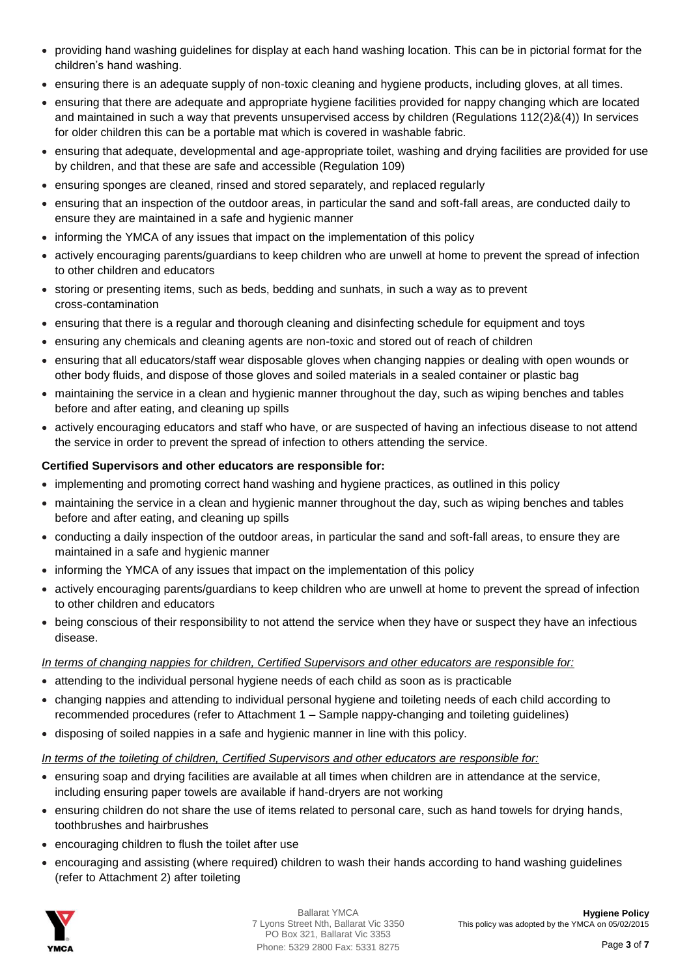- providing hand washing guidelines for display at each hand washing location. This can be in pictorial format for the children's hand washing.
- ensuring there is an adequate supply of non-toxic cleaning and hygiene products, including gloves, at all times.
- ensuring that there are adequate and appropriate hygiene facilities provided for nappy changing which are located and maintained in such a way that prevents unsupervised access by children (Regulations 112(2)&(4)) In services for older children this can be a portable mat which is covered in washable fabric.
- ensuring that adequate, developmental and age-appropriate toilet, washing and drying facilities are provided for use by children, and that these are safe and accessible (Regulation 109)
- ensuring sponges are cleaned, rinsed and stored separately, and replaced regularly
- ensuring that an inspection of the outdoor areas, in particular the sand and soft-fall areas, are conducted daily to ensure they are maintained in a safe and hygienic manner
- informing the YMCA of any issues that impact on the implementation of this policy
- actively encouraging parents/guardians to keep children who are unwell at home to prevent the spread of infection to other children and educators
- storing or presenting items, such as beds, bedding and sunhats, in such a way as to prevent cross-contamination
- ensuring that there is a regular and thorough cleaning and disinfecting schedule for equipment and toys
- ensuring any chemicals and cleaning agents are non-toxic and stored out of reach of children
- ensuring that all educators/staff wear disposable gloves when changing nappies or dealing with open wounds or other body fluids, and dispose of those gloves and soiled materials in a sealed container or plastic bag
- maintaining the service in a clean and hygienic manner throughout the day, such as wiping benches and tables before and after eating, and cleaning up spills
- actively encouraging educators and staff who have, or are suspected of having an infectious disease to not attend the service in order to prevent the spread of infection to others attending the service.

#### **Certified Supervisors and other educators are responsible for:**

- implementing and promoting correct hand washing and hygiene practices, as outlined in this policy
- maintaining the service in a clean and hygienic manner throughout the day, such as wiping benches and tables before and after eating, and cleaning up spills
- conducting a daily inspection of the outdoor areas, in particular the sand and soft-fall areas, to ensure they are maintained in a safe and hygienic manner
- informing the YMCA of any issues that impact on the implementation of this policy
- actively encouraging parents/guardians to keep children who are unwell at home to prevent the spread of infection to other children and educators
- being conscious of their responsibility to not attend the service when they have or suspect they have an infectious disease.

#### *In terms of changing nappies for children, Certified Supervisors and other educators are responsible for:*

- attending to the individual personal hygiene needs of each child as soon as is practicable
- changing nappies and attending to individual personal hygiene and toileting needs of each child according to recommended procedures (refer to Attachment 1 – Sample nappy-changing and toileting guidelines)
- disposing of soiled nappies in a safe and hygienic manner in line with this policy.

#### *In terms of the toileting of children, Certified Supervisors and other educators are responsible for:*

- ensuring soap and drying facilities are available at all times when children are in attendance at the service, including ensuring paper towels are available if hand-dryers are not working
- ensuring children do not share the use of items related to personal care, such as hand towels for drying hands, toothbrushes and hairbrushes
- encouraging children to flush the toilet after use
- encouraging and assisting (where required) children to wash their hands according to hand washing guidelines (refer to Attachment 2) after toileting

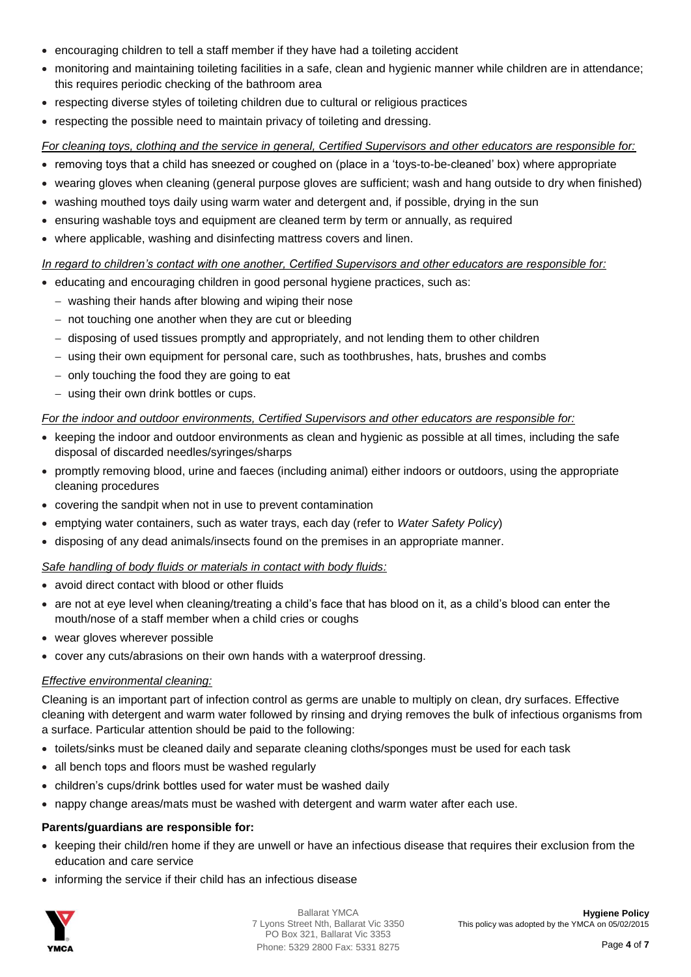- encouraging children to tell a staff member if they have had a toileting accident
- monitoring and maintaining toileting facilities in a safe, clean and hygienic manner while children are in attendance; this requires periodic checking of the bathroom area
- respecting diverse styles of toileting children due to cultural or religious practices
- respecting the possible need to maintain privacy of toileting and dressing.

#### *For cleaning toys, clothing and the service in general, Certified Supervisors and other educators are responsible for:*

- removing toys that a child has sneezed or coughed on (place in a 'toys-to-be-cleaned' box) where appropriate
- wearing gloves when cleaning (general purpose gloves are sufficient; wash and hang outside to dry when finished)
- washing mouthed toys daily using warm water and detergent and, if possible, drying in the sun
- ensuring washable toys and equipment are cleaned term by term or annually, as required
- where applicable, washing and disinfecting mattress covers and linen.

#### *In regard to children's contact with one another, Certified Supervisors and other educators are responsible for:*

- educating and encouraging children in good personal hygiene practices, such as:
	- washing their hands after blowing and wiping their nose
	- $-$  not touching one another when they are cut or bleeding
	- disposing of used tissues promptly and appropriately, and not lending them to other children
	- using their own equipment for personal care, such as toothbrushes, hats, brushes and combs
	- $-$  only touching the food they are going to eat
	- using their own drink bottles or cups.

#### *For the indoor and outdoor environments, Certified Supervisors and other educators are responsible for:*

- keeping the indoor and outdoor environments as clean and hygienic as possible at all times, including the safe disposal of discarded needles/syringes/sharps
- promptly removing blood, urine and faeces (including animal) either indoors or outdoors, using the appropriate cleaning procedures
- covering the sandpit when not in use to prevent contamination
- emptying water containers, such as water trays, each day (refer to *Water Safety Policy*)
- disposing of any dead animals/insects found on the premises in an appropriate manner.

#### *Safe handling of body fluids or materials in contact with body fluids:*

- avoid direct contact with blood or other fluids
- are not at eye level when cleaning/treating a child's face that has blood on it, as a child's blood can enter the mouth/nose of a staff member when a child cries or coughs
- wear gloves wherever possible
- cover any cuts/abrasions on their own hands with a waterproof dressing.

#### *Effective environmental cleaning:*

Cleaning is an important part of infection control as germs are unable to multiply on clean, dry surfaces. Effective cleaning with detergent and warm water followed by rinsing and drying removes the bulk of infectious organisms from a surface. Particular attention should be paid to the following:

- toilets/sinks must be cleaned daily and separate cleaning cloths/sponges must be used for each task
- all bench tops and floors must be washed regularly
- children's cups/drink bottles used for water must be washed daily
- nappy change areas/mats must be washed with detergent and warm water after each use.

#### **Parents/guardians are responsible for:**

- keeping their child/ren home if they are unwell or have an infectious disease that requires their exclusion from the education and care service
- informing the service if their child has an infectious disease

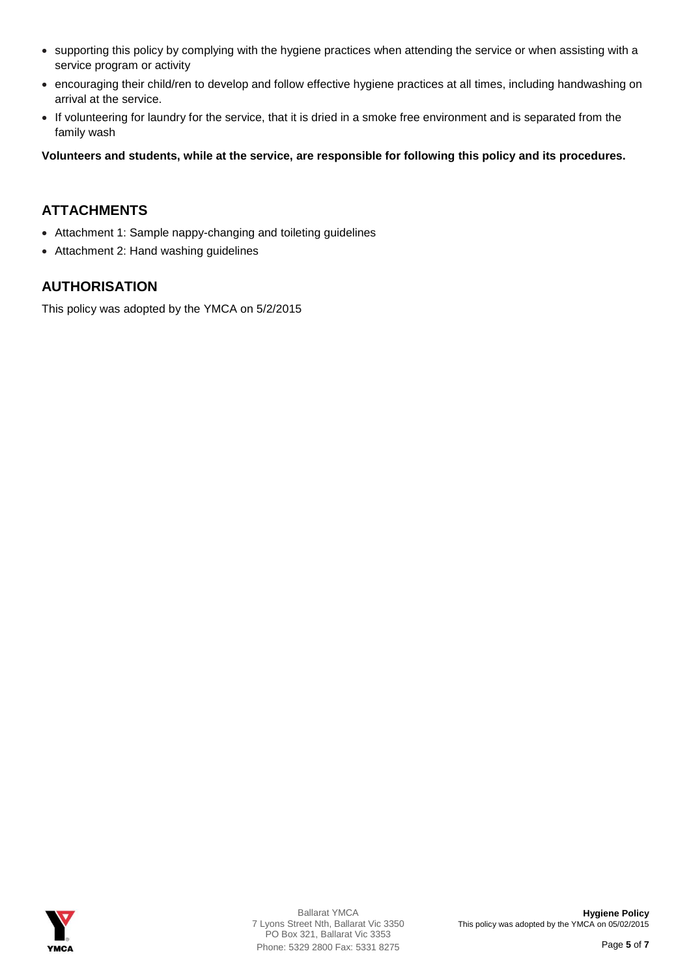- supporting this policy by complying with the hygiene practices when attending the service or when assisting with a service program or activity
- encouraging their child/ren to develop and follow effective hygiene practices at all times, including handwashing on arrival at the service.
- If volunteering for laundry for the service, that it is dried in a smoke free environment and is separated from the family wash

**Volunteers and students, while at the service, are responsible for following this policy and its procedures.**

## **ATTACHMENTS**

- Attachment 1: Sample nappy-changing and toileting guidelines
- Attachment 2: Hand washing guidelines

## **AUTHORISATION**

This policy was adopted by the YMCA on 5/2/2015

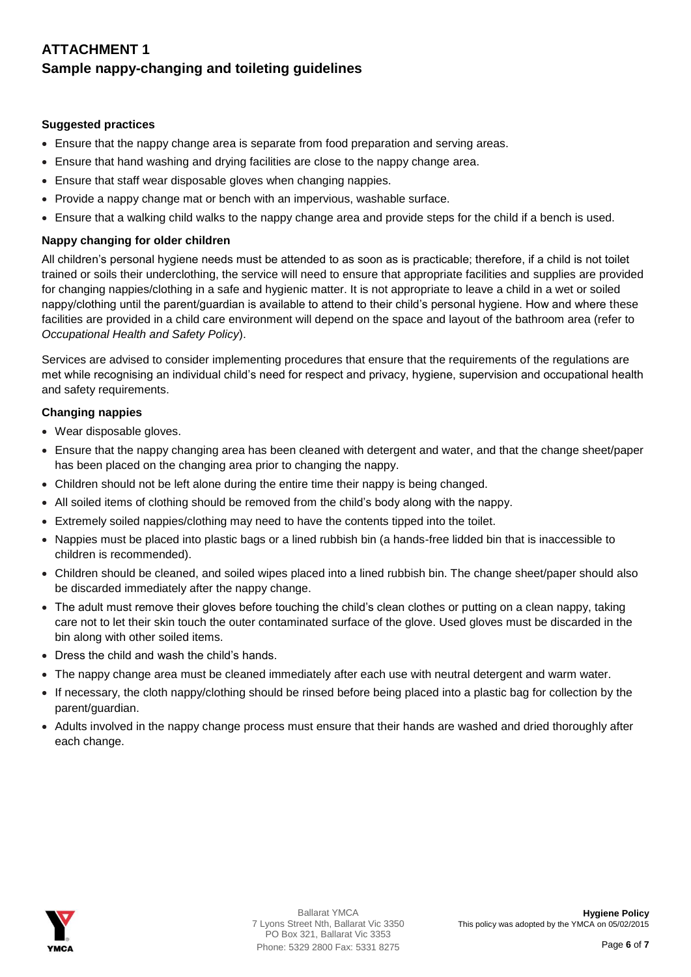## **ATTACHMENT 1 Sample nappy-changing and toileting guidelines**

#### **Suggested practices**

- Ensure that the nappy change area is separate from food preparation and serving areas.
- Ensure that hand washing and drying facilities are close to the nappy change area.
- Ensure that staff wear disposable gloves when changing nappies.
- Provide a nappy change mat or bench with an impervious, washable surface.
- Ensure that a walking child walks to the nappy change area and provide steps for the child if a bench is used.

#### **Nappy changing for older children**

All children's personal hygiene needs must be attended to as soon as is practicable; therefore, if a child is not toilet trained or soils their underclothing, the service will need to ensure that appropriate facilities and supplies are provided for changing nappies/clothing in a safe and hygienic matter. It is not appropriate to leave a child in a wet or soiled nappy/clothing until the parent/guardian is available to attend to their child's personal hygiene. How and where these facilities are provided in a child care environment will depend on the space and layout of the bathroom area (refer to *Occupational Health and Safety Policy*).

Services are advised to consider implementing procedures that ensure that the requirements of the regulations are met while recognising an individual child's need for respect and privacy, hygiene, supervision and occupational health and safety requirements.

#### **Changing nappies**

- Wear disposable gloves.
- Ensure that the nappy changing area has been cleaned with detergent and water, and that the change sheet/paper has been placed on the changing area prior to changing the nappy.
- Children should not be left alone during the entire time their nappy is being changed.
- All soiled items of clothing should be removed from the child's body along with the nappy.
- Extremely soiled nappies/clothing may need to have the contents tipped into the toilet.
- Nappies must be placed into plastic bags or a lined rubbish bin (a hands-free lidded bin that is inaccessible to children is recommended).
- Children should be cleaned, and soiled wipes placed into a lined rubbish bin. The change sheet/paper should also be discarded immediately after the nappy change.
- The adult must remove their gloves before touching the child's clean clothes or putting on a clean nappy, taking care not to let their skin touch the outer contaminated surface of the glove. Used gloves must be discarded in the bin along with other soiled items.
- Dress the child and wash the child's hands.
- The nappy change area must be cleaned immediately after each use with neutral detergent and warm water.
- If necessary, the cloth nappy/clothing should be rinsed before being placed into a plastic bag for collection by the parent/guardian.
- Adults involved in the nappy change process must ensure that their hands are washed and dried thoroughly after each change.